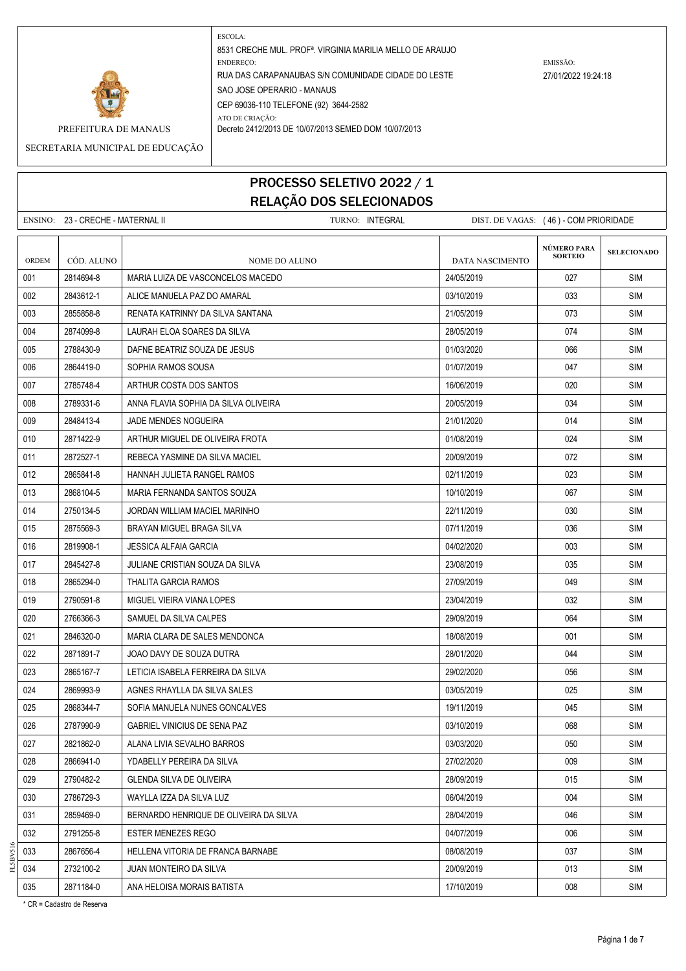

SECRETARIA MUNICIPAL DE EDUCAÇÃO

# PROCESSO SELETIVO 2022 / 1 RELAÇÃO DOS SELECIONADOS

ENSINO: 23 - CRECHE - MATERNAL II TURNO: INTEGRAL DIST. DE VAGAS: ( 46 ) - COM PRIORIDADE **SELECIONADO** ORDEM CÓD. ALUNO **NOME DO ALUNO** NOME DO ALUNO DATA NASCIMENTO 001 2814694-8 MARIA LUIZA DE VASCONCELOS MACEDO 24/05/2019 027 SIM 002 2843612-1 ALICE MANUELA PAZ DO AMARAL 03/10/2019 033 SIM 003 2855858-8 RENATA KATRINNY DA SILVA SANTANA 21/05/2019 073 SIM 004 2874099-8 LIAURAH FLOA SOARES DA SILVA 28/05/2019 28/05/2019 1074 SIM 005 2788430-9 DAFNE BEATRIZ SOUZA DE JESUS 01/03/2020 066 SIM 006 2864419-0 SOPHIA RAMOS SOUSA 01/07/2019 047 SIM 007 2785748-4 ARTHUR COSTA DOS SANTOS 16/06/2019 | 16/06/2019 | 2785748-4 ARTHUR COSTA DOS SANTOS 008 2789331-6 ANNA FLAVIA SOPHIA DA SILVA OLIVEIRA 2002 - 2006/2019 | 2006/2019 | 034 SIM 009 2848413-4 JADE MENDES NOGUEIRA 21/01/2020 2009 21/01/2020 2014 SIM 010 2871422-9 ARTHUR MIGUEL DE OLIVEIRA FROTA 01/08/2019 024 SIM 011 2872527-1 REBECA YASMINE DA SILVA MACIEL 20/09/2019 072 SIM 012 2865841-8 HANNAH JULIETA RANGEL RAMOS 02/11/2019 023 SIM 013 2868104-5 MARIA FERNANDA SANTOS SOUZA 1000000 10000000 10/10/2019 067 SIM 014 2750134-5 JORDAN WILLIAM MACIEL MARINHO 22/11 22/11/2019 22/11/2019 030 SIM 015 2875569-3 BRAYAN MIGUEL BRAGA SILVA 07/11/2019 036 SIM 016 2819908-1 JESSICA ALFAIA GARCIA 04/02/2020 003 SIM 017 2845427-8 JULIANE CRISTIAN SOUZA DA SILVA 23/08/2019 23/08/2019 23/08/2019 23/08 018 2865294-0 THALITA GARCIA RAMOS 27/09/2019 049 SIM 019 2790591-8 MIGUEL VIEIRA VIANA LOPES 23/04/2019 23/04/2019 23/04/2019 23/04/2019 020 2766366-3 SAMUEL DA SILVA CALPES 29/09/2019 064 SIM 021 2846320-0 MARIA CLARA DE SALES MENDONCA 18/08/2019 001 SIM 022 2871891-7 JOAO DAVY DE SOUZA DUTRA 28/02 28/01/2020 ASIMBLE 28/01/2020 DALLAME SIM 023 2865167-7 LETICIA ISABELA FERREIRA DA SILVA 29/02/2020 056 SIM 024 2869993-9 AGNES RHAYLLA DA SILVA SALES 03/05/2019 025 SIM 025 2868344-7 SOFIA MANUELA NUNES GONCALVES 19/11/2019 045 SIM 026 2787990-9 GABRIEL VINICIUS DE SENA PAZ 03/10/2019 068 SIM 027 2821862-0 ALANA LIVIA SEVALHO BARROS 03/03/2020 050 SIM 028 2866941-0 VDABELLY PEREIRA DA SILVA 27/02/2020 | 009 | SIM 029 2790482-2 GLENDA SILVA DE OLIVEIRA 28/02/02 28/09/2019 - 28/09/2019 015 SIM 030 2786729-3 WAYLLA IZZA DA SILVA LUZ 06/04/2019 004 SIM 031 2859469-0 BERNARDO HENRIQUE DE OLIVEIRA DA SILVA 28/04/2019 | 28/04/2019 | 2859469-0 | SIM 032 2791255-8 ESTER MENEZES REGO 04/07/2019 006 SIM 033 2867656-4 HELLENA VITORIA DE FRANCA BARNABE 08/08/2019 SIM 034 2732100-2 JUAN MONTEIRO DA SILVA 2000 2000/2019 20/09/2019 13 013 SIM **NÚMERO PARA SORTEIO**

035 2871184-0 ANA HELOISA MORAIS BATISTA 17 17 10/2019 17/10/2019 1881 1891 1892

\* CR = Cadastro de Reserva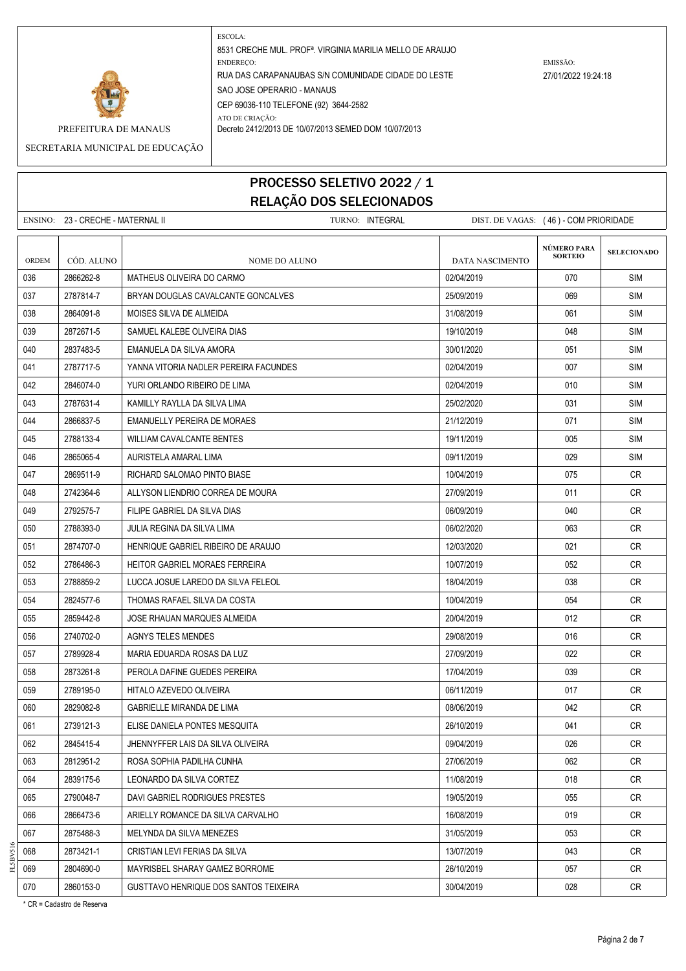

SECRETARIA MUNICIPAL DE EDUCAÇÃO

# PROCESSO SELETIVO 2022 / 1 RELAÇÃO DOS SELECIONADOS

ENSINO: 23 - CRECHE - MATERNAL II TURNO: INTEGRAL DIST. DE VAGAS: (46) - COM PRIORIDADE

| <b>ORDEM</b> | CÓD. ALUNO | NOME DO ALUNO                                | DATA NASCIMENTO | <b>NÚMERO PARA</b><br><b>SORTEIO</b> | <b>SELECIONADO</b> |
|--------------|------------|----------------------------------------------|-----------------|--------------------------------------|--------------------|
| 036          | 2866262-8  | MATHEUS OLIVEIRA DO CARMO                    | 02/04/2019      | 070                                  | <b>SIM</b>         |
| 037          | 2787814-7  | BRYAN DOUGLAS CAVALCANTE GONCALVES           | 25/09/2019      | 069                                  | <b>SIM</b>         |
| 038          | 2864091-8  | MOISES SILVA DE ALMEIDA                      | 31/08/2019      | 061                                  | <b>SIM</b>         |
| 039          | 2872671-5  | SAMUEL KALEBE OLIVEIRA DIAS                  | 19/10/2019      | 048                                  | <b>SIM</b>         |
| 040          | 2837483-5  | EMANUELA DA SILVA AMORA                      | 30/01/2020      | 051                                  | <b>SIM</b>         |
| 041          | 2787717-5  | YANNA VITORIA NADLER PEREIRA FACUNDES        | 02/04/2019      | 007                                  | <b>SIM</b>         |
| 042          | 2846074-0  | YURI ORLANDO RIBEIRO DE LIMA                 | 02/04/2019      | 010                                  | <b>SIM</b>         |
| 043          | 2787631-4  | KAMILLY RAYLLA DA SILVA LIMA                 | 25/02/2020      | 031                                  | <b>SIM</b>         |
| 044          | 2866837-5  | EMANUELLY PEREIRA DE MORAES                  | 21/12/2019      | 071                                  | <b>SIM</b>         |
| 045          | 2788133-4  | WILLIAM CAVALCANTE BENTES                    | 19/11/2019      | 005                                  | <b>SIM</b>         |
| 046          | 2865065-4  | AURISTELA AMARAL LIMA                        | 09/11/2019      | 029                                  | <b>SIM</b>         |
| 047          | 2869511-9  | RICHARD SALOMAO PINTO BIASE                  | 10/04/2019      | 075                                  | CR                 |
| 048          | 2742364-6  | ALLYSON LIENDRIO CORREA DE MOURA             | 27/09/2019      | 011                                  | <b>CR</b>          |
| 049          | 2792575-7  | FILIPE GABRIEL DA SILVA DIAS                 | 06/09/2019      | 040                                  | CR                 |
| 050          | 2788393-0  | JULIA REGINA DA SILVA LIMA                   | 06/02/2020      | 063                                  | CR                 |
| 051          | 2874707-0  | HENRIQUE GABRIEL RIBEIRO DE ARAUJO           | 12/03/2020      | 021                                  | CR                 |
| 052          | 2786486-3  | HEITOR GABRIEL MORAES FERREIRA               | 10/07/2019      | 052                                  | CR                 |
| 053          | 2788859-2  | LUCCA JOSUE LAREDO DA SILVA FELEOL           | 18/04/2019      | 038                                  | <b>CR</b>          |
| 054          | 2824577-6  | THOMAS RAFAEL SILVA DA COSTA                 | 10/04/2019      | 054                                  | CR                 |
| 055          | 2859442-8  | JOSE RHAUAN MARQUES ALMEIDA                  | 20/04/2019      | 012                                  | <b>CR</b>          |
| 056          | 2740702-0  | AGNYS TELES MENDES                           | 29/08/2019      | 016                                  | CR                 |
| 057          | 2789928-4  | MARIA EDUARDA ROSAS DA LUZ                   | 27/09/2019      | 022                                  | CR                 |
| 058          | 2873261-8  | PEROLA DAFINE GUEDES PEREIRA                 | 17/04/2019      | 039                                  | CR                 |
| 059          | 2789195-0  | HITALO AZEVEDO OLIVEIRA                      | 06/11/2019      | 017                                  | CR.                |
| 060          | 2829082-8  | <b>GABRIELLE MIRANDA DE LIMA</b>             | 08/06/2019      | 042                                  | <b>CR</b>          |
| 061          | 2739121-3  | ELISE DANIELA PONTES MESQUITA                | 26/10/2019      | 041                                  | CR.                |
| 062          | 2845415-4  | JHENNYFFER LAIS DA SILVA OLIVEIRA            | 09/04/2019      | 026                                  | CR                 |
| 063          | 2812951-2  | ROSA SOPHIA PADILHA CUNHA                    | 27/06/2019      | 062                                  | CR.                |
| 064          | 2839175-6  | LEONARDO DA SILVA CORTEZ                     | 11/08/2019      | 018                                  | CR                 |
| 065          | 2790048-7  | DAVI GABRIEL RODRIGUES PRESTES               | 19/05/2019      | 055                                  | CR                 |
| 066          | 2866473-6  | ARIELLY ROMANCE DA SILVA CARVALHO            | 16/08/2019      | 019                                  | CR                 |
| 067          | 2875488-3  | MELYNDA DA SILVA MENEZES                     | 31/05/2019      | 053                                  | CR                 |
| 068          | 2873421-1  | CRISTIAN LEVI FERIAS DA SILVA                | 13/07/2019      | 043                                  | CR                 |
| 069          | 2804690-0  | MAYRISBEL SHARAY GAMEZ BORROME               | 26/10/2019      | 057                                  | CR                 |
| 070          | 2860153-0  | <b>GUSTTAVO HENRIQUE DOS SANTOS TEIXEIRA</b> | 30/04/2019      | 028                                  | <b>CR</b>          |

\* CR = Cadastro de Reserva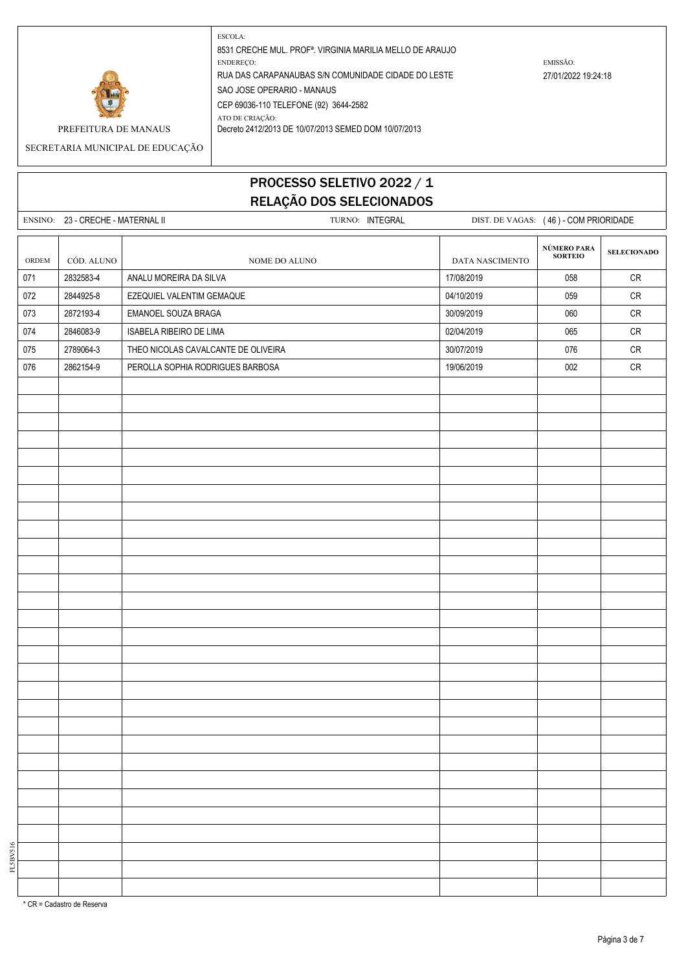

SECRETARIA MUNICIPAL DE EDUCAÇÃO

# PROCESSO SELETIVO 2022 / 1 RELAÇÃO DOS SELECIONADOS

ENSINO: 23 - CRECHE - MATERNAL II TURNO: INTEGRAL DIST. DE VAGAS: (46) - COM PRIORIDADE **SELECIONADO** ORDEM CÓD. ALUNO  $\begin{array}{|c|c|c|c|c|}\n\hline\n\text{O}(\text{NOME}) & \text{OME}(\text{NOME})\n\hline\n\end{array}$ DATA NASCIMENTO 071 2832583-4 ANALU MOREIRA DA SILVA 17/08/2019 | 058 | CR 072 2844925-8 EZEQUIEL VALENTIM GEMAQUE 04/10/2019 059 CR 073 2872193-4 EMANOEL SOUZA BRAGA 30/09/2019 060 CR 074 2846083-9 ISABELA RIBEIRO DE LIMA 02/04/2019 065 CR 075 2789064-3 THEO NICOLAS CAVALCANTE DE OLIVEIRA 30/07/2019 CR 076 2862154-9 PEROLLA SOPHIA RODRIGUES BARBOSA 19906/2019 19/06/2019 2002 CR **NÚMERO PARA SORTEIO**

\* CR = Cadastro de Reserva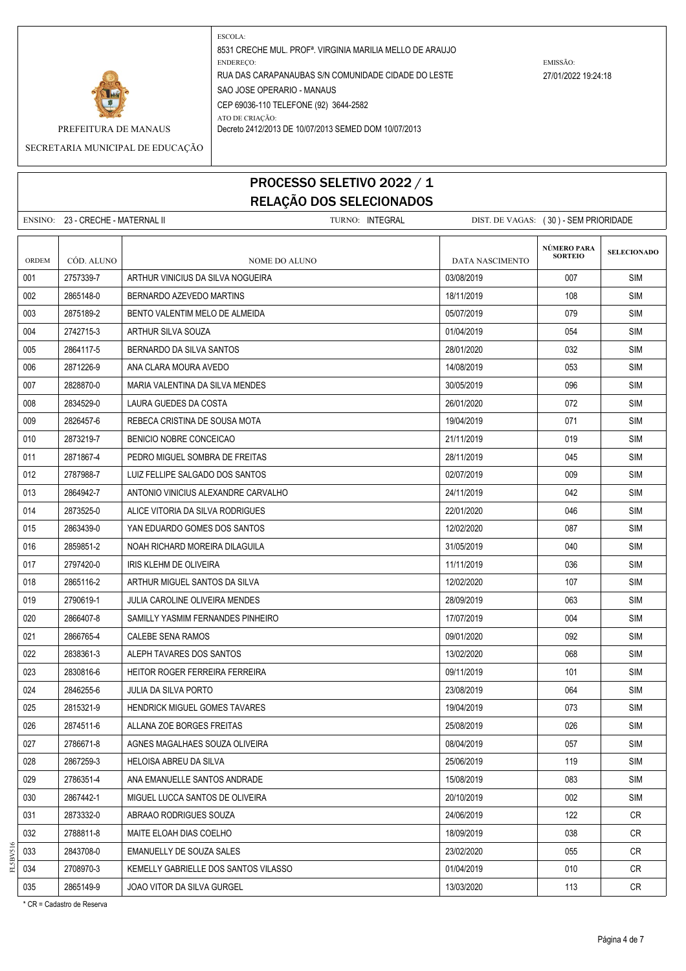

SECRETARIA MUNICIPAL DE EDUCAÇÃO

### PROCESSO SELETIVO 2022 / 1 RELAÇÃO DOS SELECIONADOS

ENSINO: 23 - CRECHE - MATERNAL II TURNO: INTEGRAL DIST. DE VAGAS: ( 30 ) - SEM PRIORIDADE **SELECIONADO** ORDEM CÓD. ALUNO **NOME DO ALUNO** NOME DO ALUNO DATA NASCIMENTO 001 2757339-7 ARTHUR VINICIUS DA SILVA NOGUEIRA 03/08/2019 007 SIM 002 2865148-0 BERNARDO AZEVEDO MARTINS 18/2000 18/11/2019 108 3 SIM 003 2875189-2 BENTO VALENTIM MELO DE ALMEIDA 05/07/2019 SIM 004 2742715-3 ARTHUR SILVA SOUZA 01/04/2019 054 SIM 005 2864117-5 EFRNARDO DA SILVA SANTOS 2001 28/01/2020 38/01/2020 9864117-5 SIM 006 2871226-9 ANA CLARA MOURA AVEDO 14/08/2019 SIM 007 2828870-0 MARIA VALENTINA DA SILVA MENDES 30/05/2019 096 SIM 008 2834529-0 LAURA GUEDES DA COSTA 26/01/2020 072 SIM 009 2826457-6 REBECA CRISTINA DE SOUSA MOTA 19/04/2019 | 19/04/2019 | 071 | SIM 010 2873219-7 BENICIO NOBRE CONCEICAO 21/11/2019 019 SIM 011 2871867-4 PEDRO MIGUEL SOMBRA DE FREITAS 28/11/2019 045 SIM 012 2787988-7 LUIZ FELLIPE SALGADO DOS SANTOS 02/07/2019 009 SIM 013 2864942-7 ANTONIO VINICIUS ALEXANDRE CARVALHO 24/11/2019 042 SIM 014 2873525-0 ALICE VITORIA DA SILVA RODRIGUES 22/01/2020 046 SIM 015 2863439-0 VAN EDUARDO GOMES DOS SANTOS 1200 XIM 12002/2020 12002/2020 987 SIM 016 2859851-2 NOAH RICHARD MOREIRA DILAGUILA 31/05/2019 040 SIM 017 2797420-0 IRIS KLEHM DE OLIVEIRA 11/11/2019 | 036 | SIM 018 2865116-2 ARTHUR MIGUEL SANTOS DA SILVA 1202 1202/2020 12/02/2020 12/02/2020 12/07 SIM 019 2790619-1 JULIA CAROLINE OLIVEIRA MENDES 28/09/2019 28/09/2019 29/09/2019 20:3 SIM 020 2866407-8 SAMILLY YASMIM FERNANDES PINHEIRO 17/07/2019 17/07/2019 18/04 SIM 021 2866765-4 CALEBE SENA RAMOS 09/01/2020 SIM 022 2838361-3 ALEPH TAVARES DOS SANTOS 13/02/2020 13/02/2020 13/02/2020 968 SIM 023 2830816-6 HEITOR ROGER FERREIRA FERREIRA **1999 109/11/2019 101 SIM** 024 2846255-6 JULIA DA SILVA PORTO 23/08/2019 23/08/2019 23/08/2019 2014 23/08 025 2815321-9 HENDRICK MIGUEL GOMES TAVARES 19/04/2019 19/04/2019 19/04/2019 19/04 026 2874511-6 ALLANA ZOE BORGES FREITAS 25/08/2019 026 SIM 027 2786671-8 AGNES MAGALHAES SOUZA OLIVEIRA 08/04/2019 057 SIM 028 2867259-3 HELOISA ABREU DA SILVA 25/06/2019 | 119 | SIM 029 2786351-4 ANA EMANUELLE SANTOS ANDRADE 15/08/2019 15/08/2019 15/08/2019 083 SIM 030 2867442-1 MIGUEL LUCCA SANTOS DE OLIVEIRA 20/10/2019 002 SIM 031 2873332-0 ABRAAO RODRIGUES SOUZA 24/06/2019 CR 032 2788811-8 MAITE ELOAH DIAS COELHO 18/09/2019 038 CR 033 2843708-0 EMANUELLY DE SOUZA SALES 23/02/2020 055 CR 034 2708970-3 KEMELLY GABRIELLE DOS SANTOS VILASSO NA LO LO LO LO LO LO LO LO LO LO CR **NÚMERO PARA SORTEIO**

035 2865149-9 JOAO VITOR DA SILVA GURGEL 2000 13/03/2020 13/03/2020 113 CR

FL5BV516

\* CR = Cadastro de Reserva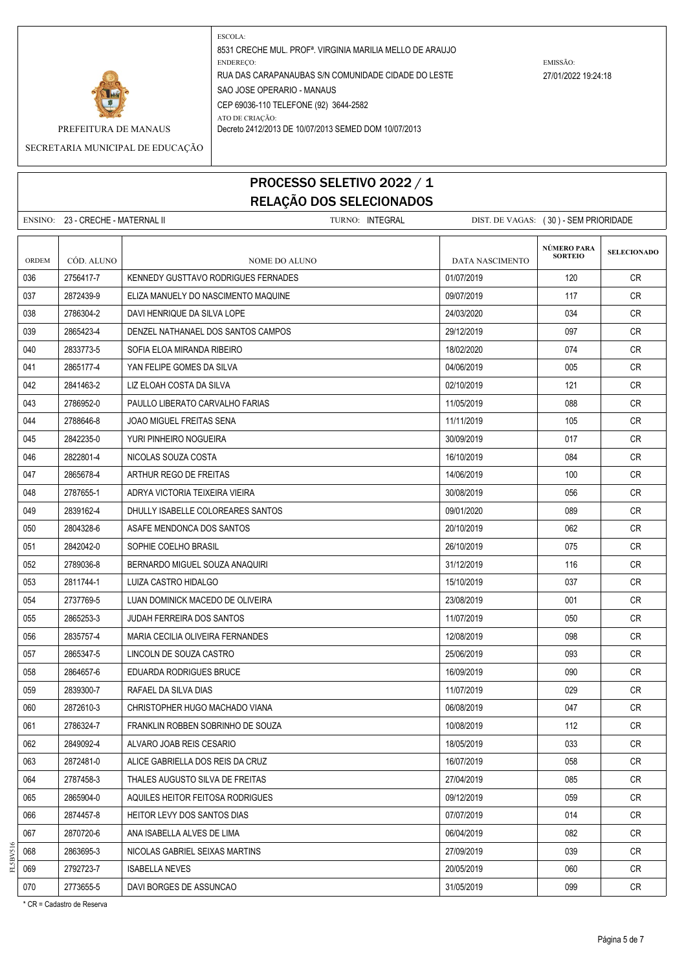

SECRETARIA MUNICIPAL DE EDUCAÇÃO

# PROCESSO SELETIVO 2022 / 1 RELAÇÃO DOS SELECIONADOS

ENSINO: 23 - CRECHE - MATERNAL II TURNO: INTEGRAL DIST. DE VAGAS: ( 30 ) - SEM PRIORIDADE **SELECIONADO** ORDEM CÓD. ALUNO **NOME DO ALUNO** NOME DO ALUNO DATA NASCIMENTO 036 2756417-7 KENNEDY GUSTTAVO RODRIGUES FERNADES 01/07/2019 CR 037 2872439-9 ELIZA MANUELY DO NASCIMENTO MAQUINE 09/07/2019 117 CR 038 2786304-2 DAVI HENRIQUE DA SILVA LOPE 24/03/2020 2000 DA 24/03/2020 234 CR 039 2865423-4 DENZEL NATHANAEL DOS SANTOS CAMPOS 29 29/12/2019 29/12/2019 29/12 040 2833773-5 SOFIA FLOA MIRANDA RIBEIRO 1990 1990 18/02/2020 18/02/2020 18/02 041 2865177-4 YAN FELIPE GOMES DA SILVA 04/06/2019 005 CR 042 2841463-2 LIZ ELOAH COSTA DA SILVA 02/10/2019 121 CR 043 2786952-0 PAULLO LIBERATO CARVALHO FARIAS 11/05/2019 11/05/2019 088 CR 044 2788646-8 JOAO MIGUEL FREITAS SENA 11/11/2019 11/11/2019 105 CR 045 2842235-0 YURI PINHEIRO NOGUEIRA 30/09/2019 017 CR 046 2822801-4 NICOLAS SOUZA COSTA 16/10/2019 16/10/2019 084 CR 047 2865678-4 | ARTHUR REGO DE FREITAS | 14/06/2019 | 14/06/2019 | 100 | CR 048 2787655-1 ADRYA VICTORIA TEIXEIRA VIEIRA 30/08/2019 | 30/08/2019 | 056 | CR 049 2839162-4 DHULLY ISABELLE COLOREARES SANTOS 08/01/2020 CR 050 2804328-6 ASAFE MENDONCA DOS SANTOS 2002 2002 DE 20/10/2019 19 062 CR 051 2842042-0 SOPHIE COELHO BRASIL 26/10/2019 075 CR 052 2789036-8 BERNARDO MIGUEL SOUZA ANAQUIRI 31/12/2019 116 CR 053 2811744-1 LUIZA CASTRO HIDALGO 15/10/2019 CR 054 2737769-5 LUAN DOMINICK MACEDO DE OLIVEIRA 23/08/2019 | 23/08/2019 | 001 | CR 055 2865253-3 JUDAH FERREIRA DOS SANTOS 11/07/2019 11/07/2019 11/07/2019 050 CR 056 2835757-4 MARIA CECILIA OLIVEIRA FERNANDES 12/08/2019 098 CR 057 2865347-5 LINCOLN DE SOUZA CASTRO 25/06/2019 25/06/2019 25/06/2019 093 CR 058 2864657-6 EDUARDA RODRIGUES BRUCE 16/09/2019 090 CR 059 2839300-7 RAFAEL DA SILVA DIAS 11/07/2019 11/07/2019 12:029 29 CR 060 2872610-3 CHRISTOPHER HUGO MACHADO VIANA 06/08/2019 CR 061 2786324-7 FRANKLIN ROBBEN SOBRINHO DE SOUZA 10/08/2019 CR 062 2849092-4 ALVARO JOAB REIS CESARIO 18/05/2019 CR 063 2872481-0 ALICE GABRIELLA DOS REIS DA CRUZ 16/07/2019 CR 064 2787458-3 THALES AUGUSTO SILVA DE FREITAS 27/04/2019 CR 065 2865904-0 AQUILES HEITOR FEITOSA RODRIGUES 09/12/2019 CR 066 2874457-8 HEITOR LEVY DOS SANTOS DIAS 07/07/2019 CR 067 2870720-6 ANA ISABELLA ALVES DE LIMA 06/04/2019 082 CR 068 2863695-3 NICOLAS GABRIEL SEIXAS MARTINS 27/09/2019 039 CR 069 | 2792723-7 | ISABELLA NEVES | 20/05/2019 | 060 | CR 070 2773655-5 DAVI BORGES DE ASSUNCAO 31/05/2019 099 CR **NÚMERO PARA SORTEIO**

\* CR = Cadastro de Reserva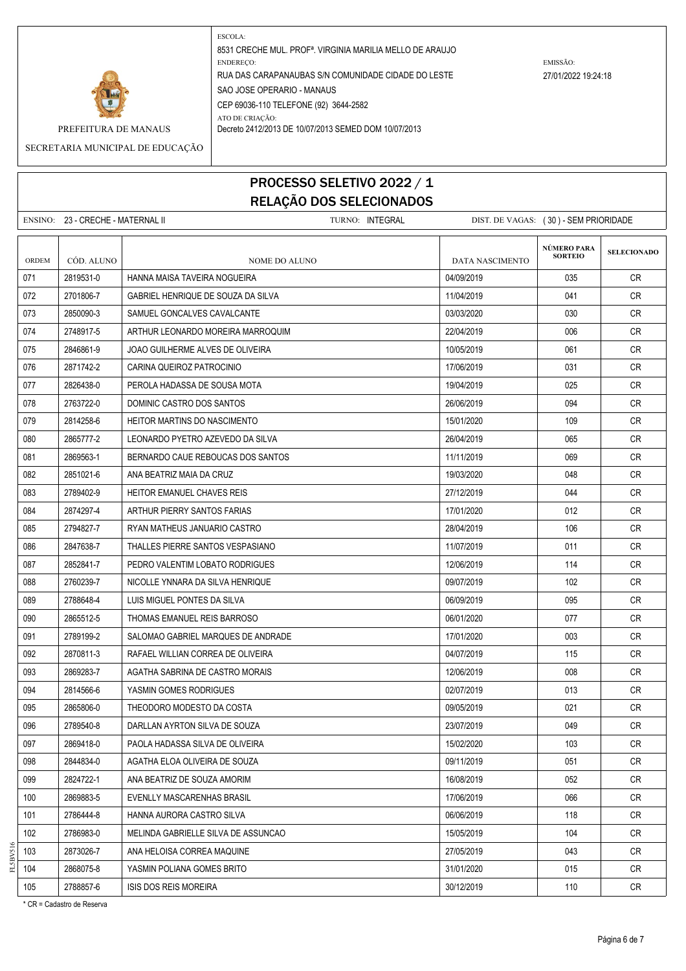

SECRETARIA MUNICIPAL DE EDUCAÇÃO

### PROCESSO SELETIVO 2022 / 1 RELAÇÃO DOS SELECIONADOS

|       | ENSINO: 23 - CRECHE - MATERNAL II | TURNO: INTEGRAL                     | DIST. DE VAGAS: (30) - SEM PRIORIDADE |                                      |                    |
|-------|-----------------------------------|-------------------------------------|---------------------------------------|--------------------------------------|--------------------|
| ORDEM | CÓD. ALUNO                        | NOME DO ALUNO                       | DATA NASCIMENTO                       | <b>NÚMERO PARA</b><br><b>SORTEIO</b> | <b>SELECIONADO</b> |
| 071   | 2819531-0                         | HANNA MAISA TAVEIRA NOGUEIRA        | 04/09/2019                            | 035                                  | CR                 |
| 072   | 2701806-7                         | GABRIEL HENRIQUE DE SOUZA DA SILVA  | 11/04/2019                            | 041                                  | CR                 |
| 073   | 2850090-3                         | SAMUEL GONCALVES CAVALCANTE         | 03/03/2020                            | 030                                  | <b>CR</b>          |
| 074   | 2748917-5                         | ARTHUR LEONARDO MOREIRA MARROQUIM   | 22/04/2019                            | 006                                  | <b>CR</b>          |
| 075   | 2846861-9                         | JOAO GUILHERME ALVES DE OLIVEIRA    | 10/05/2019                            | 061                                  | <b>CR</b>          |
| 076   | 2871742-2                         | CARINA QUEIROZ PATROCINIO           | 17/06/2019                            | 031                                  | <b>CR</b>          |
| 077   | 2826438-0                         | PEROLA HADASSA DE SOUSA MOTA        | 19/04/2019                            | 025                                  | <b>CR</b>          |
| 078   | 2763722-0                         | DOMINIC CASTRO DOS SANTOS           | 26/06/2019                            | 094                                  | <b>CR</b>          |
| 079   | 2814258-6                         | HEITOR MARTINS DO NASCIMENTO        | 15/01/2020                            | 109                                  | <b>CR</b>          |
| 080   | 2865777-2                         | LEONARDO PYETRO AZEVEDO DA SILVA    | 26/04/2019                            | 065                                  | CR                 |
| 081   | 2869563-1                         | BERNARDO CAUE REBOUCAS DOS SANTOS   | 11/11/2019                            | 069                                  | <b>CR</b>          |
| 082   | 2851021-6                         | ANA BEATRIZ MAIA DA CRUZ            | 19/03/2020                            | 048                                  | <b>CR</b>          |
| 083   | 2789402-9                         | <b>HEITOR EMANUEL CHAVES REIS</b>   | 27/12/2019                            | 044                                  | CR.                |
| 084   | 2874297-4                         | ARTHUR PIERRY SANTOS FARIAS         | 17/01/2020                            | 012                                  | CR                 |
| 085   | 2794827-7                         | RYAN MATHEUS JANUARIO CASTRO        | 28/04/2019                            | 106                                  | <b>CR</b>          |
| 086   | 2847638-7                         | THALLES PIERRE SANTOS VESPASIANO    | 11/07/2019                            | 011                                  | CR                 |
| 087   | 2852841-7                         | PEDRO VALENTIM LOBATO RODRIGUES     | 12/06/2019                            | 114                                  | <b>CR</b>          |
| 088   | 2760239-7                         | NICOLLE YNNARA DA SILVA HENRIQUE    | 09/07/2019                            | 102                                  | <b>CR</b>          |
| 089   | 2788648-4                         | LUIS MIGUEL PONTES DA SILVA         | 06/09/2019                            | 095                                  | CR                 |
| 090   | 2865512-5                         | THOMAS EMANUEL REIS BARROSO         | 06/01/2020                            | 077                                  | <b>CR</b>          |
| 091   | 2789199-2                         | SALOMAO GABRIEL MARQUES DE ANDRADE  | 17/01/2020                            | 003                                  | <b>CR</b>          |
| 092   | 2870811-3                         | RAFAEL WILLIAN CORREA DE OLIVEIRA   | 04/07/2019                            | 115                                  | CR                 |
| 093   | 2869283-7                         | AGATHA SABRINA DE CASTRO MORAIS     | 12/06/2019                            | 008                                  | <b>CR</b>          |
| 094   | 2814566-6                         | YASMIN GOMES RODRIGUES              | 02/07/2019                            | 013                                  | CR                 |
| 095   | 2865806-0                         | THEODORO MODESTO DA COSTA           | 09/05/2019                            | 021                                  | CR                 |
| 096   | 2789540-8                         | DARLLAN AYRTON SILVA DE SOUZA       | 23/07/2019                            | 049                                  | ${\sf CR}$         |
| 097   | 2869418-0                         | PAOLA HADASSA SILVA DE OLIVEIRA     | 15/02/2020                            | 103                                  | CR                 |
| 098   | 2844834-0                         | AGATHA ELOA OLIVEIRA DE SOUZA       | 09/11/2019                            | 051                                  | <b>CR</b>          |
| 099   | 2824722-1                         | ANA BEATRIZ DE SOUZA AMORIM         | 16/08/2019                            | 052                                  | CR                 |
| 100   | 2869883-5                         | EVENLLY MASCARENHAS BRASIL          | 17/06/2019                            | 066                                  | CR                 |
| 101   | 2786444-8                         | HANNA AURORA CASTRO SILVA           | 06/06/2019                            | 118                                  | <b>CR</b>          |
| 102   | 2786983-0                         | MELINDA GABRIELLE SILVA DE ASSUNCAO | 15/05/2019                            | 104                                  | CR                 |
| 103   | 2873026-7                         | ANA HELOISA CORREA MAQUINE          | 27/05/2019                            | 043                                  | CR                 |
| 104   | 2868075-8                         | YASMIN POLIANA GOMES BRITO          | 31/01/2020                            | 015                                  | CR                 |

2788857-6 ISIS DOS REIS MOREIRA 30/12/2019 110 CR

\* CR = Cadastro de Reserva